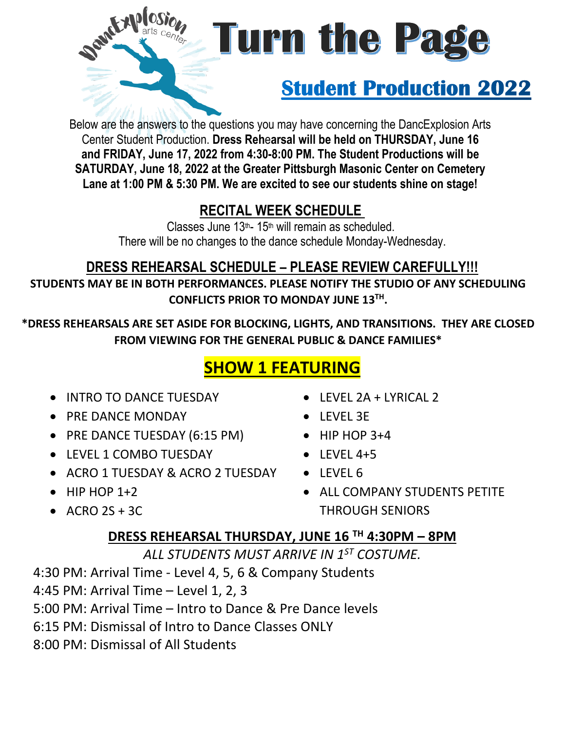

# **Turn the Pa**

# **Student Production 2022**

Below are the answers to the questions you may have concerning the DancExplosion Arts Center Student Production. **Dress Reh**e**arsal will be held on THURSDAY, June 16 and FRIDAY, June 17, 2022 from 4:30-8:00 PM. The Student Productions will be SATURDAY, June 18, 2022 at the Greater Pittsburgh Masonic Center on Cemetery Lane at 1:00 PM & 5:30 PM. We are excited to see our students shine on stage!**

## **RECITAL WEEK SCHEDULE**

Classes June 13<sup>th</sup>- 15<sup>th</sup> will remain as scheduled. There will be no changes to the dance schedule Monday-Wednesday.

#### **DRESS REHEARSAL SCHEDULE – PLEASE REVIEW CAREFULLY!!! STUDENTS MAY BE IN BOTH PERFORMANCES. PLEASE NOTIFY THE STUDIO OF ANY SCHEDULING CONFLICTS PRIOR TO MONDAY JUNE 13TH .**

**\*DRESS REHEARSALS ARE SET ASIDE FOR BLOCKING, LIGHTS, AND TRANSITIONS. THEY ARE CLOSED FROM VIEWING FOR THE GENERAL PUBLIC & DANCE FAMILIES\*** 

## **SHOW 1 FEATURING**

- **INTRO TO DANCE TUESDAY**
- PRE DANCE MONDAY
- PRE DANCE TUESDAY (6:15 PM)
- **IFVEL 1 COMBO TUESDAY**
- ACRO 1 TUESDAY & ACRO 2 TUESDAY
- $\bullet$  HIP HOP 1+2
- $\bullet$  ACRO 2S + 3C
- $\bullet$  I FVFL 2A + LYRICAL 2
- LEVEL 3E
- $\bullet$  HIP HOP 3+4
- $\bullet$  LEVEL 4+5
- LEVEL 6
- ALL COMPANY STUDENTS PETITE THROUGH SENIORS

#### **DRESS REHEARSAL THURSDAY, JUNE 16 TH 4:30PM – 8PM**

*ALL STUDENTS MUST ARRIVE IN 1ST COSTUME.*

4:30 PM: Arrival Time - Level 4, 5, 6 & Company Students

4:45 PM: Arrival Time – Level 1, 2, 3

5:00 PM: Arrival Time – Intro to Dance & Pre Dance levels

- 6:15 PM: Dismissal of Intro to Dance Classes ONLY
- 8:00 PM: Dismissal of All Students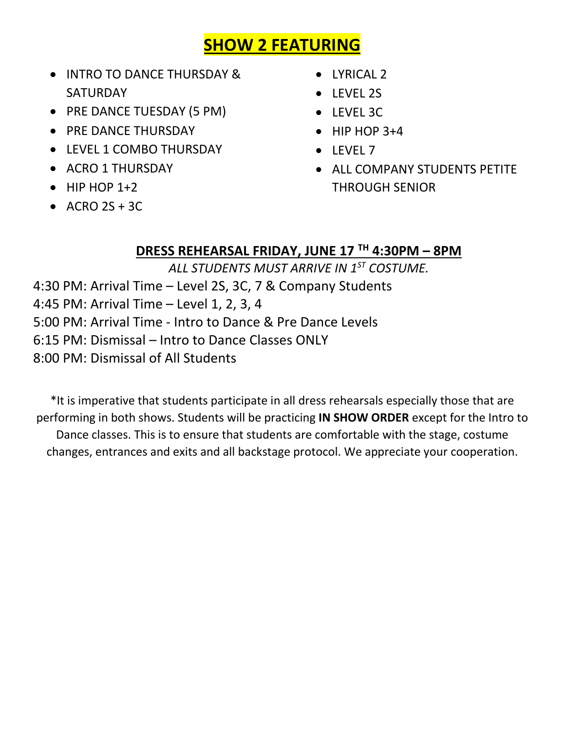## **SHOW 2 FEATURING**

- INTRO TO DANCE THURSDAY & SATURDAY
- PRE DANCE TUESDAY (5 PM)
- PRE DANCE THURSDAY
- LEVEL 1 COMBO THURSDAY
- ACRO 1 THURSDAY
- $\bullet$  HIP HOP 1+2
- $\bullet$  ACRO 2S + 3C
- LYRICAL 2
- $\bullet$  LEVEL 2S
- LEVEL 3C
- $\bullet$  HIP HOP 3+4
- LEVEL 7
- ALL COMPANY STUDENTS PETITE THROUGH SENIOR

#### **DRESS REHEARSAL FRIDAY, JUNE 17 TH 4:30PM – 8PM**

*ALL STUDENTS MUST ARRIVE IN 1ST COSTUME.*

4:30 PM: Arrival Time – Level 2S, 3C, 7 & Company Students

4:45 PM: Arrival Time – Level 1, 2, 3, 4

5:00 PM: Arrival Time - Intro to Dance & Pre Dance Levels

6:15 PM: Dismissal – Intro to Dance Classes ONLY

8:00 PM: Dismissal of All Students

\*It is imperative that students participate in all dress rehearsals especially those that are performing in both shows. Students will be practicing **IN SHOW ORDER** except for the Intro to Dance classes. This is to ensure that students are comfortable with the stage, costume changes, entrances and exits and all backstage protocol. We appreciate your cooperation.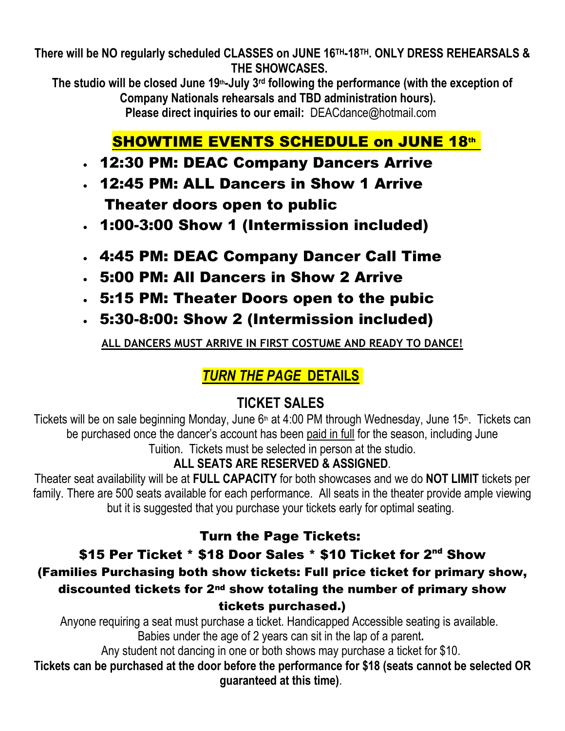**There will be NO regularly scheduled CLASSES on JUNE 16 TH-18 TH. ONLY DRESS REHEARSALS & THE SHOWCASES.**

**The studio will be closed June 19th-July 3 rd following the performance (with the exception of Company Nationals rehearsals and TBD administration hours). Please direct inquiries to our email:** DEACdance@hotmail.com

## **SHOWTIME EVENTS SCHEDULE on JUNE 18th**

- 12:30 PM: DEAC Company Dancers Arrive
- 12:45 PM: ALL Dancers in Show 1 Arrive Theater doors open to public
- 1:00-3:00 Show 1 (Intermission included)
- 4:45 PM: DEAC Company Dancer Call Time
- 5:00 PM: All Dancers in Show 2 Arrive
- 5:15 PM: Theater Doors open to the pubic
- 5:30-8:00: Show 2 (Intermission included)

**ALL DANCERS MUST ARRIVE IN FIRST COSTUME AND READY TO DANCE!** 

#### *TURN THE PAGE* **DETAILS**

## **TICKET SALES**

Tickets will be on sale beginning Monday, June 6<sup>th</sup> at 4:00 PM through Wednesday, June 15<sup>th</sup>. Tickets can be purchased once the dancer's account has been paid in full for the season, including June Tuition. Tickets must be selected in person at the studio.

#### **ALL SEATS ARE RESERVED & ASSIGNED**.

Theater seat availability will be at **FULL CAPACITY** for both showcases and we do **NOT LIMIT** tickets per family. There are 500 seats available for each performance. All seats in the theater provide ample viewing but it is suggested that you purchase your tickets early for optimal seating.

#### Turn the Page Tickets:

#### \$15 Per Ticket \* \$18 Door Sales \* \$10 Ticket for 2<sup>nd</sup> Show (Families Purchasing both show tickets: Full price ticket for primary show, discounted tickets for 2nd show totaling the number of primary show tickets purchased.)

Anyone requiring a seat must purchase a ticket. Handicapped Accessible seating is available. Babies under the age of 2 years can sit in the lap of a parent**.**

Any student not dancing in one or both shows may purchase a ticket for \$10.

**Tickets can be purchased at the door before the performance for \$18 (seats cannot be selected OR guaranteed at this time)**.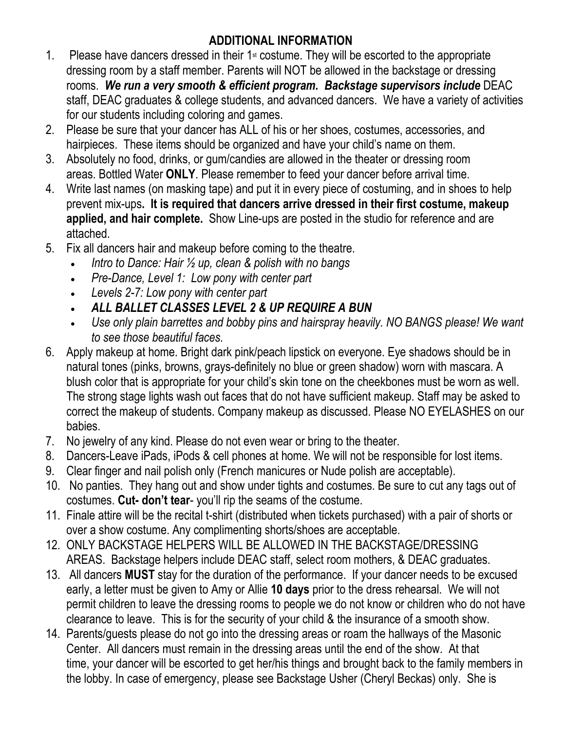#### **ADDITIONAL INFORMATION**

- 1. Please have dancers dressed in their  $1<sup>st</sup>$  costume. They will be escorted to the appropriate dressing room by a staff member. Parents will NOT be allowed in the backstage or dressing rooms. *We run a very smooth & efficient program. Backstage supervisors include* DEAC staff, DEAC graduates & college students, and advanced dancers. We have a variety of activities for our students including coloring and games.
- 2. Please be sure that your dancer has ALL of his or her shoes, costumes, accessories, and hairpieces. These items should be organized and have your child's name on them.
- 3. Absolutely no food, drinks, or gum/candies are allowed in the theater or dressing room areas. Bottled Water **ONLY**. Please remember to feed your dancer before arrival time.
- 4. Write last names (on masking tape) and put it in every piece of costuming, and in shoes to help prevent mix-ups**. It is required that dancers arrive dressed in their first costume, makeup applied, and hair complete.** Show Line-ups are posted in the studio for reference and are attached.
- 5. Fix all dancers hair and makeup before coming to the theatre.
	- *Intro to Dance: Hair ½ up, clean & polish with no bangs*
	- *Pre-Dance, Level 1: Low pony with center part*
	- *Levels 2-7: Low pony with center part*
	- *ALL BALLET CLASSES LEVEL 2 & UP REQUIRE A BUN*
	- *Use only plain barrettes and bobby pins and hairspray heavily. NO BANGS please! We want to see those beautiful faces.*
- 6. Apply makeup at home. Bright dark pink/peach lipstick on everyone. Eye shadows should be in natural tones (pinks, browns, grays-definitely no blue or green shadow) worn with mascara. A blush color that is appropriate for your child's skin tone on the cheekbones must be worn as well. The strong stage lights wash out faces that do not have sufficient makeup. Staff may be asked to correct the makeup of students. Company makeup as discussed. Please NO EYELASHES on our babies.
- 7. No jewelry of any kind. Please do not even wear or bring to the theater.
- 8. Dancers-Leave iPads, iPods & cell phones at home. We will not be responsible for lost items.
- 9. Clear finger and nail polish only (French manicures or Nude polish are acceptable).
- 10. No panties. They hang out and show under tights and costumes. Be sure to cut any tags out of costumes. **Cut- don't tear**- you'll rip the seams of the costume.
- 11. Finale attire will be the recital t-shirt (distributed when tickets purchased) with a pair of shorts or over a show costume. Any complimenting shorts/shoes are acceptable.
- 12. ONLY BACKSTAGE HELPERS WILL BE ALLOWED IN THE BACKSTAGE/DRESSING AREAS. Backstage helpers include DEAC staff, select room mothers, & DEAC graduates.
- 13. All dancers **MUST** stay for the duration of the performance. If your dancer needs to be excused early, a letter must be given to Amy or Allie **10 days** prior to the dress rehearsal. We will not permit children to leave the dressing rooms to people we do not know or children who do not have clearance to leave. This is for the security of your child & the insurance of a smooth show.
- 14. Parents/guests please do not go into the dressing areas or roam the hallways of the Masonic Center. All dancers must remain in the dressing areas until the end of the show. At that time, your dancer will be escorted to get her/his things and brought back to the family members in the lobby. In case of emergency, please see Backstage Usher (Cheryl Beckas) only. She is